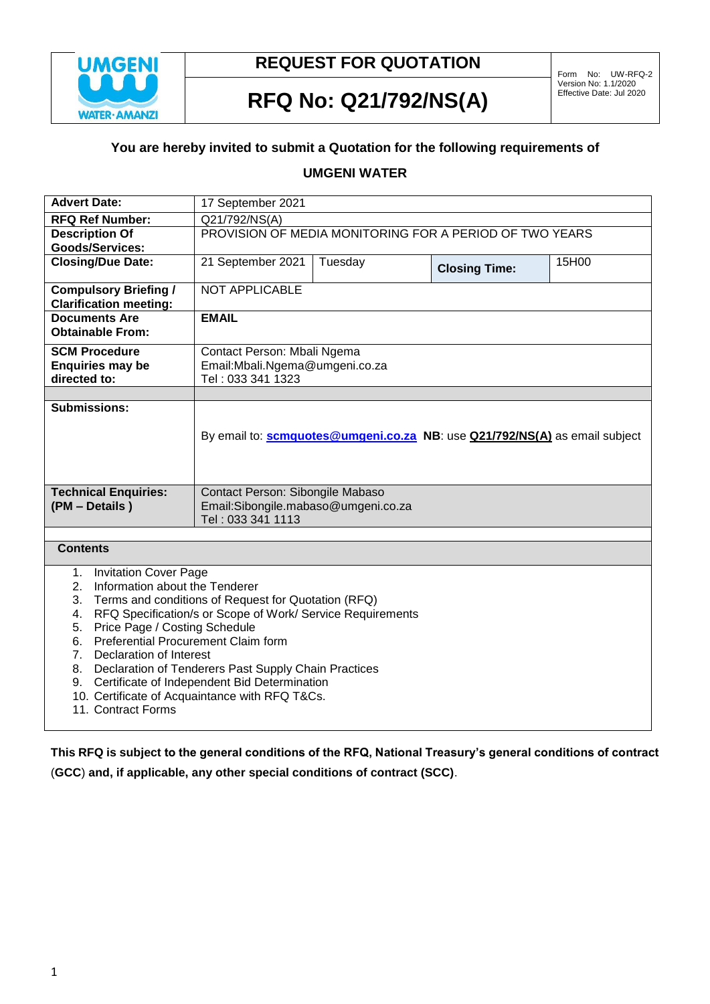

## **REQUEST FOR QUOTATION**

# Effective Date: Jul 2020 **RFQ No: Q21/792/NS(A)**

#### **You are hereby invited to submit a Quotation for the following requirements of**

## **UMGENI WATER**

| <b>Advert Date:</b>                                                                                                                                                                                                                                                                                                                                                                                                                                                                                                                          | 17 September 2021                                                                    |         |                      |       |  |  |
|----------------------------------------------------------------------------------------------------------------------------------------------------------------------------------------------------------------------------------------------------------------------------------------------------------------------------------------------------------------------------------------------------------------------------------------------------------------------------------------------------------------------------------------------|--------------------------------------------------------------------------------------|---------|----------------------|-------|--|--|
| <b>RFQ Ref Number:</b>                                                                                                                                                                                                                                                                                                                                                                                                                                                                                                                       | Q21/792/NS(A)                                                                        |         |                      |       |  |  |
| <b>Description Of</b>                                                                                                                                                                                                                                                                                                                                                                                                                                                                                                                        | PROVISION OF MEDIA MONITORING FOR A PERIOD OF TWO YEARS                              |         |                      |       |  |  |
| <b>Goods/Services:</b>                                                                                                                                                                                                                                                                                                                                                                                                                                                                                                                       |                                                                                      |         |                      |       |  |  |
| <b>Closing/Due Date:</b>                                                                                                                                                                                                                                                                                                                                                                                                                                                                                                                     | 21 September 2021                                                                    | Tuesday | <b>Closing Time:</b> | 15H00 |  |  |
| <b>Compulsory Briefing /</b><br><b>Clarification meeting:</b>                                                                                                                                                                                                                                                                                                                                                                                                                                                                                | <b>NOT APPLICABLE</b>                                                                |         |                      |       |  |  |
| <b>Documents Are</b><br><b>Obtainable From:</b>                                                                                                                                                                                                                                                                                                                                                                                                                                                                                              | <b>EMAIL</b>                                                                         |         |                      |       |  |  |
| <b>SCM Procedure</b><br><b>Enquiries may be</b><br>directed to:                                                                                                                                                                                                                                                                                                                                                                                                                                                                              | Contact Person: Mbali Ngema<br>Email: Mbali. Ngema@umgeni.co.za<br>Tel: 033 341 1323 |         |                      |       |  |  |
|                                                                                                                                                                                                                                                                                                                                                                                                                                                                                                                                              |                                                                                      |         |                      |       |  |  |
| <b>Submissions:</b>                                                                                                                                                                                                                                                                                                                                                                                                                                                                                                                          | By email to: <b>scmquotes@umgeni.co.za NB</b> : use Q21/792/NS(A) as email subject   |         |                      |       |  |  |
| <b>Technical Enquiries:</b>                                                                                                                                                                                                                                                                                                                                                                                                                                                                                                                  | Contact Person: Sibongile Mabaso                                                     |         |                      |       |  |  |
| (PM - Details)                                                                                                                                                                                                                                                                                                                                                                                                                                                                                                                               | Email:Sibongile.mabaso@umgeni.co.za                                                  |         |                      |       |  |  |
|                                                                                                                                                                                                                                                                                                                                                                                                                                                                                                                                              | Tel: 033 341 1113                                                                    |         |                      |       |  |  |
| <b>Contents</b>                                                                                                                                                                                                                                                                                                                                                                                                                                                                                                                              |                                                                                      |         |                      |       |  |  |
| <b>Invitation Cover Page</b><br>1.<br>Information about the Tenderer<br>2.<br>Terms and conditions of Request for Quotation (RFQ)<br>3.<br>RFQ Specification/s or Scope of Work/ Service Requirements<br>4.<br>Price Page / Costing Schedule<br>5.<br>Preferential Procurement Claim form<br>6.<br><b>Declaration of Interest</b><br>7 <sub>1</sub><br>Declaration of Tenderers Past Supply Chain Practices<br>8.<br>9. Certificate of Independent Bid Determination<br>10. Certificate of Acquaintance with RFQ T&Cs.<br>11. Contract Forms |                                                                                      |         |                      |       |  |  |

**This RFQ is subject to the general conditions of the RFQ, National Treasury's general conditions of contract** (**GCC**) **and, if applicable, any other special conditions of contract (SCC)**.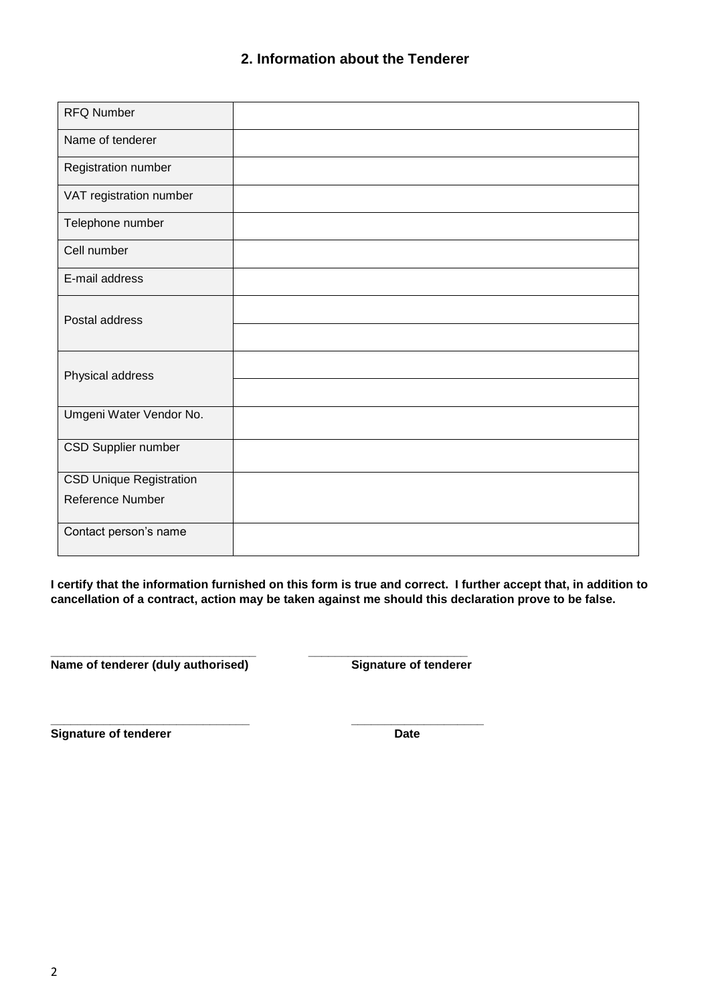| <b>RFQ Number</b>              |  |
|--------------------------------|--|
| Name of tenderer               |  |
| Registration number            |  |
| VAT registration number        |  |
| Telephone number               |  |
| Cell number                    |  |
| E-mail address                 |  |
| Postal address                 |  |
|                                |  |
| Physical address               |  |
|                                |  |
| Umgeni Water Vendor No.        |  |
| CSD Supplier number            |  |
| <b>CSD Unique Registration</b> |  |
| Reference Number               |  |
| Contact person's name          |  |

**I certify that the information furnished on this form is true and correct. I further accept that, in addition to cancellation of a contract, action may be taken against me should this declaration prove to be false.**

**\_\_\_\_\_\_\_\_\_\_\_\_\_\_\_\_\_\_\_\_\_\_\_\_\_\_\_\_\_\_\_ \_\_\_\_\_\_\_\_\_\_\_\_\_\_\_\_\_\_\_\_\_\_\_\_** Name of tenderer (duly authorised) Signature of tenderer

**\_\_\_\_\_\_\_\_\_\_\_\_\_\_\_\_\_\_\_\_\_\_\_\_\_\_\_\_\_\_ \_\_\_\_\_\_\_\_\_\_\_\_\_\_\_\_\_\_\_\_ Signature of tenderer Date**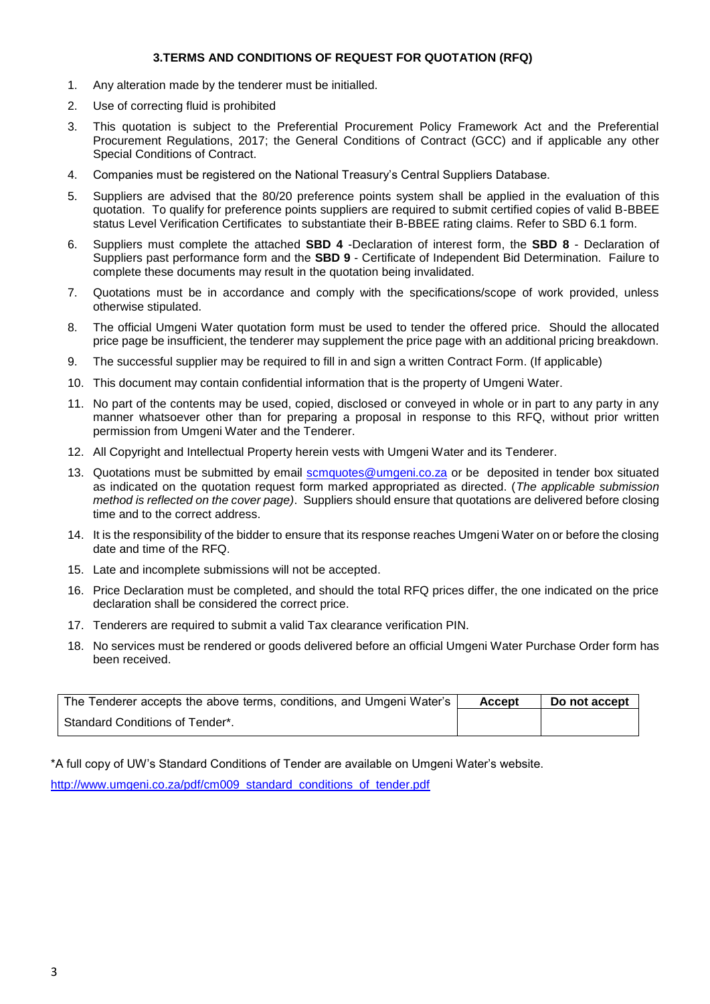#### **3.TERMS AND CONDITIONS OF REQUEST FOR QUOTATION (RFQ)**

- 1. Any alteration made by the tenderer must be initialled.
- 2. Use of correcting fluid is prohibited
- 3. This quotation is subject to the Preferential Procurement Policy Framework Act and the Preferential Procurement Regulations, 2017; the General Conditions of Contract (GCC) and if applicable any other Special Conditions of Contract.
- 4. Companies must be registered on the National Treasury's Central Suppliers Database.
- 5. Suppliers are advised that the 80/20 preference points system shall be applied in the evaluation of this quotation. To qualify for preference points suppliers are required to submit certified copies of valid B-BBEE status Level Verification Certificates to substantiate their B-BBEE rating claims. Refer to SBD 6.1 form.
- 6. Suppliers must complete the attached **SBD 4** -Declaration of interest form, the **SBD 8** Declaration of Suppliers past performance form and the **SBD 9** - Certificate of Independent Bid Determination. Failure to complete these documents may result in the quotation being invalidated.
- 7. Quotations must be in accordance and comply with the specifications/scope of work provided, unless otherwise stipulated.
- 8. The official Umgeni Water quotation form must be used to tender the offered price. Should the allocated price page be insufficient, the tenderer may supplement the price page with an additional pricing breakdown.
- 9. The successful supplier may be required to fill in and sign a written Contract Form. (If applicable)
- 10. This document may contain confidential information that is the property of Umgeni Water.
- 11. No part of the contents may be used, copied, disclosed or conveyed in whole or in part to any party in any manner whatsoever other than for preparing a proposal in response to this RFQ, without prior written permission from Umgeni Water and the Tenderer.
- 12. All Copyright and Intellectual Property herein vests with Umgeni Water and its Tenderer.
- 13. Quotations must be submitted by email [scmquotes@umgeni.co.za](mailto:scmquotes@umgeni.co.za) or be deposited in tender box situated as indicated on the quotation request form marked appropriated as directed. (*The applicable submission method is reflected on the cover page)*. Suppliers should ensure that quotations are delivered before closing time and to the correct address.
- 14. It is the responsibility of the bidder to ensure that its response reaches Umgeni Water on or before the closing date and time of the RFQ.
- 15. Late and incomplete submissions will not be accepted.
- 16. Price Declaration must be completed, and should the total RFQ prices differ, the one indicated on the price declaration shall be considered the correct price.
- 17. Tenderers are required to submit a valid Tax clearance verification PIN.
- 18. No services must be rendered or goods delivered before an official Umgeni Water Purchase Order form has been received.

| The Tenderer accepts the above terms, conditions, and Umgeni Water's | <b>Accept</b> | Do not accept |
|----------------------------------------------------------------------|---------------|---------------|
| Standard Conditions of Tender*.                                      |               |               |

\*A full copy of UW's Standard Conditions of Tender are available on Umgeni Water's website.

[http://www.umgeni.co.za/pdf/cm009\\_standard\\_conditions\\_of\\_tender.pdf](http://www.umgeni.co.za/pdf/cm009_standard_conditions_of_tender.pdf)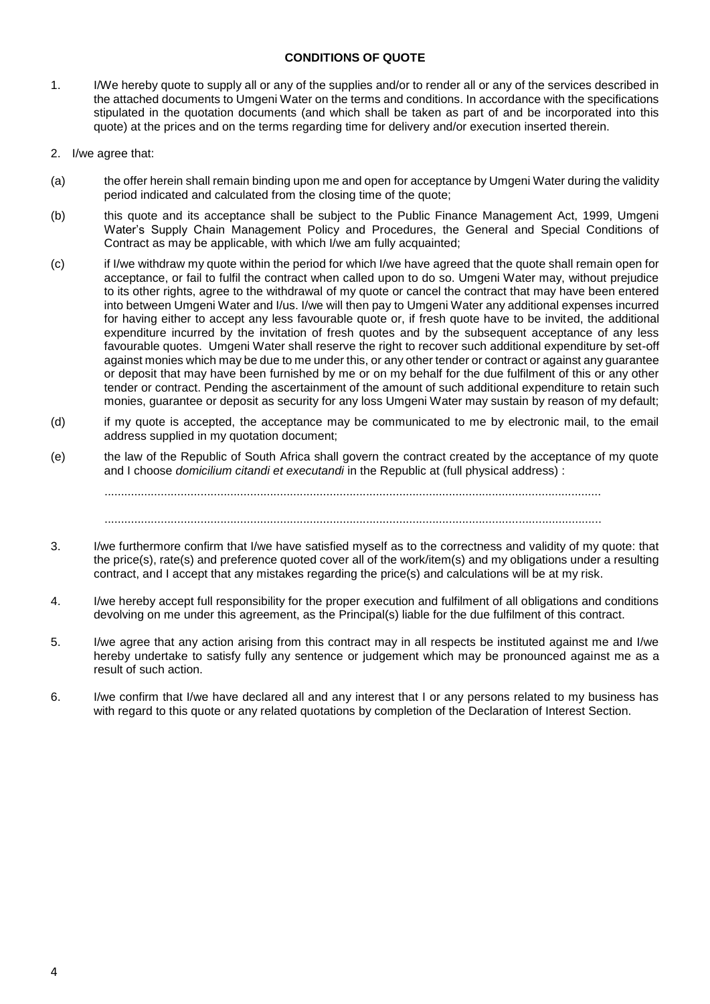#### **CONDITIONS OF QUOTE**

- 1. I/We hereby quote to supply all or any of the supplies and/or to render all or any of the services described in the attached documents to Umgeni Water on the terms and conditions. In accordance with the specifications stipulated in the quotation documents (and which shall be taken as part of and be incorporated into this quote) at the prices and on the terms regarding time for delivery and/or execution inserted therein.
- 2. I/we agree that:
- (a) the offer herein shall remain binding upon me and open for acceptance by Umgeni Water during the validity period indicated and calculated from the closing time of the quote;
- (b) this quote and its acceptance shall be subject to the Public Finance Management Act, 1999, Umgeni Water's Supply Chain Management Policy and Procedures, the General and Special Conditions of Contract as may be applicable, with which I/we am fully acquainted;
- (c) if I/we withdraw my quote within the period for which I/we have agreed that the quote shall remain open for acceptance, or fail to fulfil the contract when called upon to do so. Umgeni Water may, without prejudice to its other rights, agree to the withdrawal of my quote or cancel the contract that may have been entered into between Umgeni Water and I/us. I/we will then pay to Umgeni Water any additional expenses incurred for having either to accept any less favourable quote or, if fresh quote have to be invited, the additional expenditure incurred by the invitation of fresh quotes and by the subsequent acceptance of any less favourable quotes. Umgeni Water shall reserve the right to recover such additional expenditure by set-off against monies which may be due to me under this, or any other tender or contract or against any guarantee or deposit that may have been furnished by me or on my behalf for the due fulfilment of this or any other tender or contract. Pending the ascertainment of the amount of such additional expenditure to retain such monies, guarantee or deposit as security for any loss Umgeni Water may sustain by reason of my default;
- (d) if my quote is accepted, the acceptance may be communicated to me by electronic mail, to the email address supplied in my quotation document;
- (e) the law of the Republic of South Africa shall govern the contract created by the acceptance of my quote and I choose *domicilium citandi et executandi* in the Republic at (full physical address) :

......................................................................................................................................................

......................................................................................................................................................

- 3. I/we furthermore confirm that I/we have satisfied myself as to the correctness and validity of my quote: that the price(s), rate(s) and preference quoted cover all of the work/item(s) and my obligations under a resulting contract, and I accept that any mistakes regarding the price(s) and calculations will be at my risk.
- 4. I/we hereby accept full responsibility for the proper execution and fulfilment of all obligations and conditions devolving on me under this agreement, as the Principal(s) liable for the due fulfilment of this contract.
- 5. I/we agree that any action arising from this contract may in all respects be instituted against me and I/we hereby undertake to satisfy fully any sentence or judgement which may be pronounced against me as a result of such action.
- 6. I/we confirm that I/we have declared all and any interest that I or any persons related to my business has with regard to this quote or any related quotations by completion of the Declaration of Interest Section.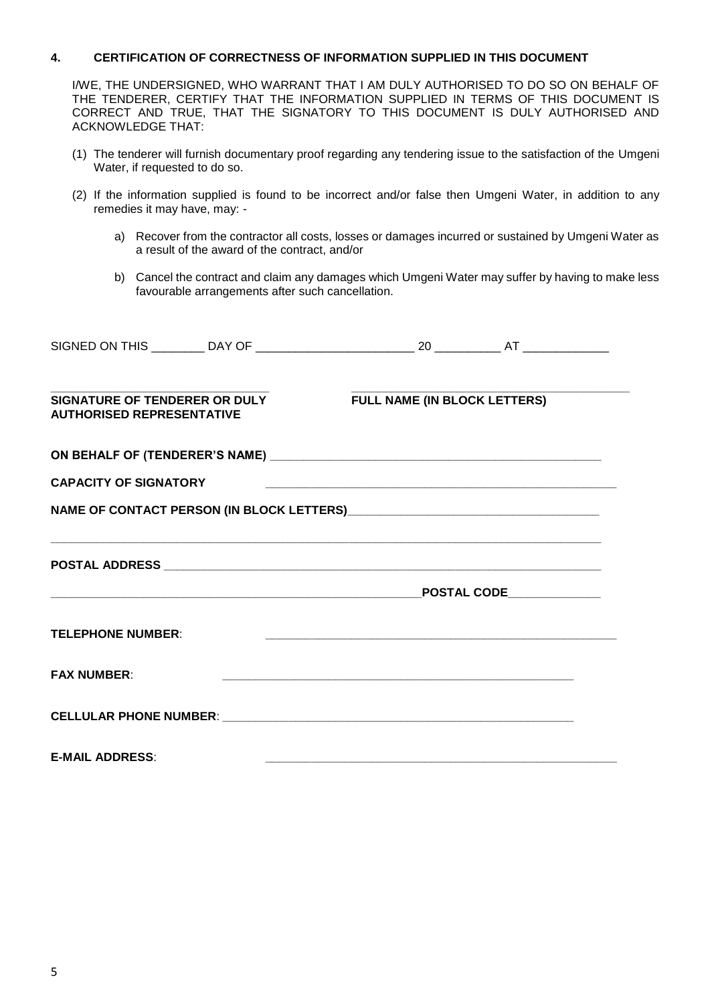#### **4. CERTIFICATION OF CORRECTNESS OF INFORMATION SUPPLIED IN THIS DOCUMENT**

I/WE, THE UNDERSIGNED, WHO WARRANT THAT I AM DULY AUTHORISED TO DO SO ON BEHALF OF THE TENDERER, CERTIFY THAT THE INFORMATION SUPPLIED IN TERMS OF THIS DOCUMENT IS CORRECT AND TRUE, THAT THE SIGNATORY TO THIS DOCUMENT IS DULY AUTHORISED AND ACKNOWLEDGE THAT:

- (1) The tenderer will furnish documentary proof regarding any tendering issue to the satisfaction of the Umgeni Water, if requested to do so.
- (2) If the information supplied is found to be incorrect and/or false then Umgeni Water, in addition to any remedies it may have, may:
	- a) Recover from the contractor all costs, losses or damages incurred or sustained by Umgeni Water as a result of the award of the contract, and/or
	- b) Cancel the contract and claim any damages which Umgeni Water may suffer by having to make less favourable arrangements after such cancellation.

| SIGNATURE OF TENDERER OR DULY<br><b>AUTHORISED REPRESENTATIVE</b> | <b>FULL NAME (IN BLOCK LETTERS)</b> |  |
|-------------------------------------------------------------------|-------------------------------------|--|
|                                                                   |                                     |  |
| <b>CAPACITY OF SIGNATORY</b>                                      |                                     |  |
|                                                                   |                                     |  |
|                                                                   | $\tt$ POSTAL CODE                   |  |
| <b>TELEPHONE NUMBER:</b>                                          |                                     |  |
| <b>FAX NUMBER:</b>                                                |                                     |  |
|                                                                   |                                     |  |
| <b>E-MAIL ADDRESS:</b>                                            |                                     |  |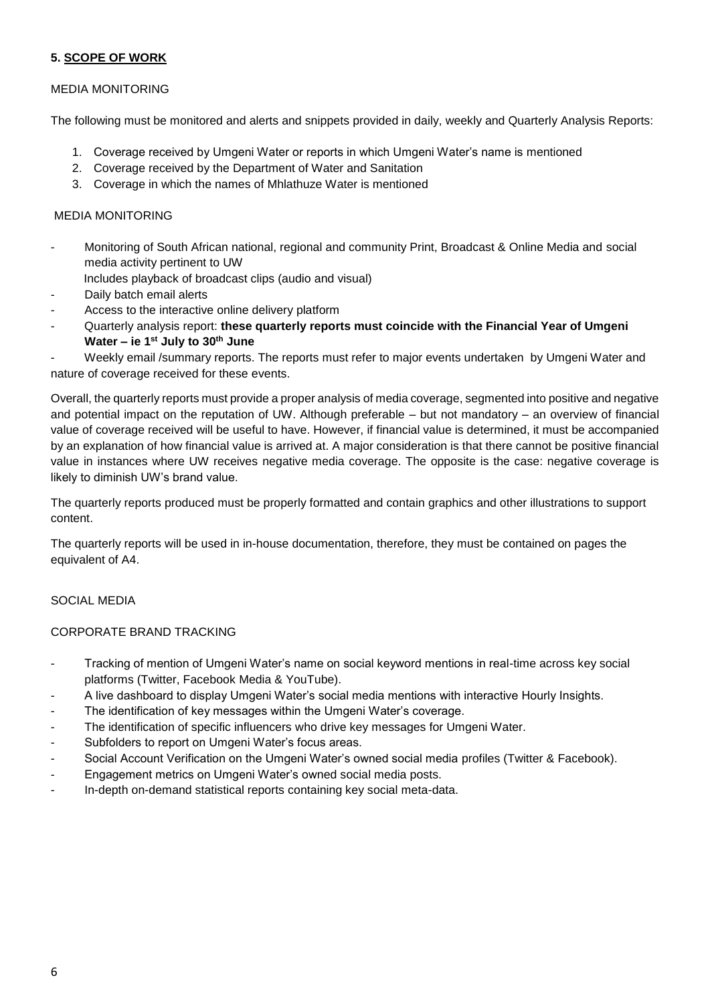#### **5. SCOPE OF WORK**

#### MEDIA MONITORING

The following must be monitored and alerts and snippets provided in daily, weekly and Quarterly Analysis Reports:

- 1. Coverage received by Umgeni Water or reports in which Umgeni Water's name is mentioned
- 2. Coverage received by the Department of Water and Sanitation
- 3. Coverage in which the names of Mhlathuze Water is mentioned

#### MEDIA MONITORING

- Monitoring of South African national, regional and community Print, Broadcast & Online Media and social media activity pertinent to UW
	- Includes playback of broadcast clips (audio and visual)
- Daily batch email alerts
- Access to the interactive online delivery platform
- Quarterly analysis report: **these quarterly reports must coincide with the Financial Year of Umgeni Water – ie 1st July to 30th June**

Weekly email /summary reports. The reports must refer to major events undertaken by Umgeni Water and nature of coverage received for these events.

Overall, the quarterly reports must provide a proper analysis of media coverage, segmented into positive and negative and potential impact on the reputation of UW. Although preferable – but not mandatory – an overview of financial value of coverage received will be useful to have. However, if financial value is determined, it must be accompanied by an explanation of how financial value is arrived at. A major consideration is that there cannot be positive financial value in instances where UW receives negative media coverage. The opposite is the case: negative coverage is likely to diminish UW's brand value.

The quarterly reports produced must be properly formatted and contain graphics and other illustrations to support content.

The quarterly reports will be used in in-house documentation, therefore, they must be contained on pages the equivalent of A4.

#### SOCIAL MEDIA

#### CORPORATE BRAND TRACKING

- Tracking of mention of Umgeni Water's name on social keyword mentions in real-time across key social platforms (Twitter, Facebook Media & YouTube).
- A live dashboard to display Umgeni Water's social media mentions with interactive Hourly Insights.
- The identification of key messages within the Umgeni Water's coverage.
- The identification of specific influencers who drive key messages for Umgeni Water.
- Subfolders to report on Umgeni Water's focus areas.
- Social Account Verification on the Umgeni Water's owned social media profiles (Twitter & Facebook).
- Engagement metrics on Umgeni Water's owned social media posts.
- In-depth on-demand statistical reports containing key social meta-data.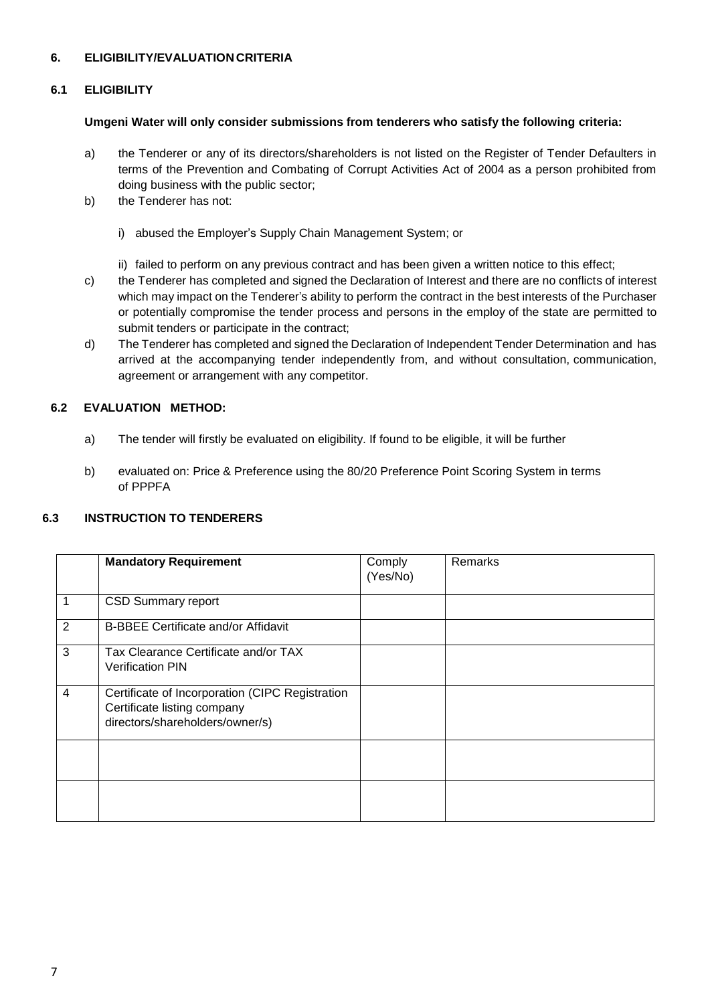### **6. ELIGIBILITY/EVALUATION CRITERIA**

#### **6.1 ELIGIBILITY**

#### **Umgeni Water will only consider submissions from tenderers who satisfy the following criteria:**

- a) the Tenderer or any of its directors/shareholders is not listed on the Register of Tender Defaulters in terms of the Prevention and Combating of Corrupt Activities Act of 2004 as a person prohibited from doing business with the public sector;
- b) the Tenderer has not:
	- i) abused the Employer's Supply Chain Management System; or
	- ii) failed to perform on any previous contract and has been given a written notice to this effect;
- c) the Tenderer has completed and signed the Declaration of Interest and there are no conflicts of interest which may impact on the Tenderer's ability to perform the contract in the best interests of the Purchaser or potentially compromise the tender process and persons in the employ of the state are permitted to submit tenders or participate in the contract;
- d) The Tenderer has completed and signed the Declaration of Independent Tender Determination and has arrived at the accompanying tender independently from, and without consultation, communication, agreement or arrangement with any competitor.

#### **6.2 EVALUATION METHOD:**

- a) The tender will firstly be evaluated on eligibility. If found to be eligible, it will be further
- b) evaluated on: Price & Preference using the 80/20 Preference Point Scoring System in terms of PPPFA

## **6.3 INSTRUCTION TO TENDERERS**

|                | <b>Mandatory Requirement</b>                                                                                      | Comply<br>(Yes/No) | Remarks |
|----------------|-------------------------------------------------------------------------------------------------------------------|--------------------|---------|
| 1              | <b>CSD Summary report</b>                                                                                         |                    |         |
| $\overline{2}$ | <b>B-BBEE Certificate and/or Affidavit</b>                                                                        |                    |         |
| 3              | Tax Clearance Certificate and/or TAX<br><b>Verification PIN</b>                                                   |                    |         |
| 4              | Certificate of Incorporation (CIPC Registration<br>Certificate listing company<br>directors/shareholders/owner/s) |                    |         |
|                |                                                                                                                   |                    |         |
|                |                                                                                                                   |                    |         |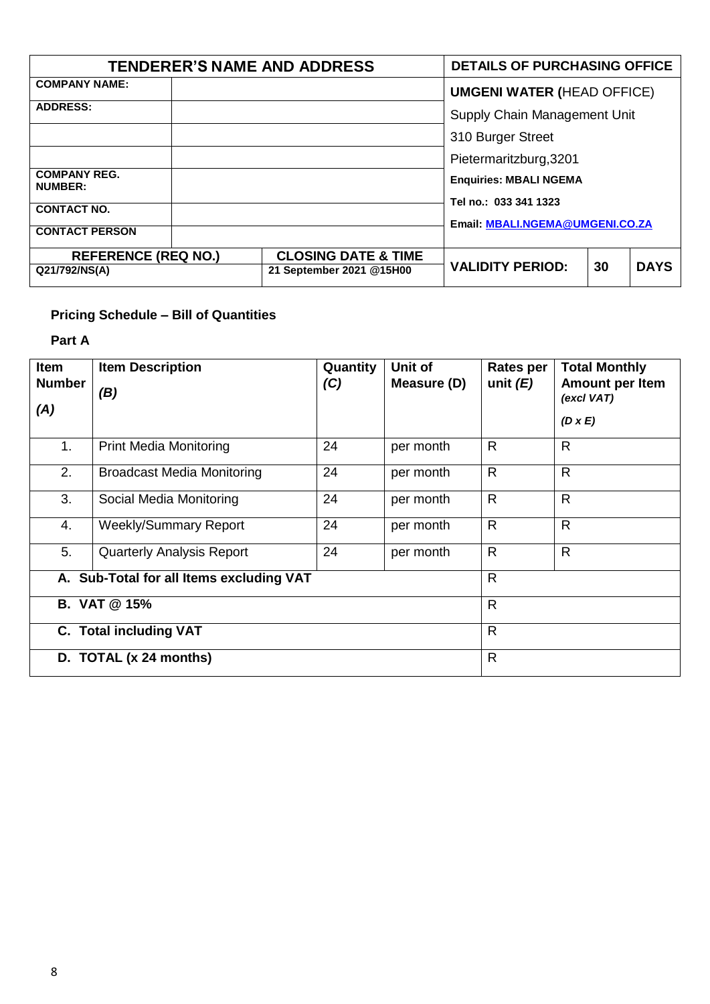| <b>TENDERER'S NAME AND ADDRESS</b>    | <b>DETAILS OF PURCHASING OFFICE</b> |                                   |  |             |  |
|---------------------------------------|-------------------------------------|-----------------------------------|--|-------------|--|
| <b>COMPANY NAME:</b>                  |                                     | <b>UMGENI WATER (HEAD OFFICE)</b> |  |             |  |
| <b>ADDRESS:</b>                       |                                     | Supply Chain Management Unit      |  |             |  |
|                                       |                                     | 310 Burger Street                 |  |             |  |
|                                       |                                     | Pietermaritzburg, 3201            |  |             |  |
| <b>COMPANY REG.</b><br><b>NUMBER:</b> |                                     | <b>Enquiries: MBALI NGEMA</b>     |  |             |  |
| <b>CONTACT NO.</b>                    |                                     | Tel no.: 033 341 1323             |  |             |  |
|                                       |                                     | Email: MBALI.NGEMA@UMGENI.CO.ZA   |  |             |  |
| <b>CONTACT PERSON</b>                 |                                     |                                   |  |             |  |
| <b>REFERENCE (REQ NO.)</b>            | <b>CLOSING DATE &amp; TIME</b>      |                                   |  |             |  |
| Q21/792/NS(A)                         | 21 September 2021 @15H00            | <b>VALIDITY PERIOD:</b><br>30     |  | <b>DAYS</b> |  |

## **Pricing Schedule – Bill of Quantities**

## **Part A**

| <b>Item</b><br><b>Number</b><br>(A) | <b>Item Description</b><br>(B)           | Quantity<br>(C) | Unit of<br>Measure (D) | <b>Rates per</b><br>unit $(E)$ | <b>Total Monthly</b><br><b>Amount per Item</b><br>(excl VAT)<br>$(D \times E)$ |
|-------------------------------------|------------------------------------------|-----------------|------------------------|--------------------------------|--------------------------------------------------------------------------------|
| 1.                                  | <b>Print Media Monitoring</b>            | 24              | per month              | R                              | $\mathsf{R}$                                                                   |
| 2.                                  | <b>Broadcast Media Monitoring</b>        | 24              | per month              | $\mathsf{R}$                   | $\mathsf{R}$                                                                   |
| 3.                                  | Social Media Monitoring                  | 24              | per month              | $\mathsf{R}$                   | $\mathsf{R}$                                                                   |
| 4.                                  | <b>Weekly/Summary Report</b>             | 24              | per month              | R                              | $\mathsf{R}$                                                                   |
| 5.                                  | <b>Quarterly Analysis Report</b>         | 24              | per month              | $\mathsf{R}$                   | $\mathsf{R}$                                                                   |
|                                     | A. Sub-Total for all Items excluding VAT |                 |                        | $\mathsf{R}$                   |                                                                                |
| <b>B. VAT @ 15%</b>                 |                                          |                 |                        |                                |                                                                                |
|                                     | <b>C.</b> Total including VAT            |                 | $\mathsf{R}$           |                                |                                                                                |
|                                     | D. TOTAL (x 24 months)                   |                 |                        | $\mathsf{R}$                   |                                                                                |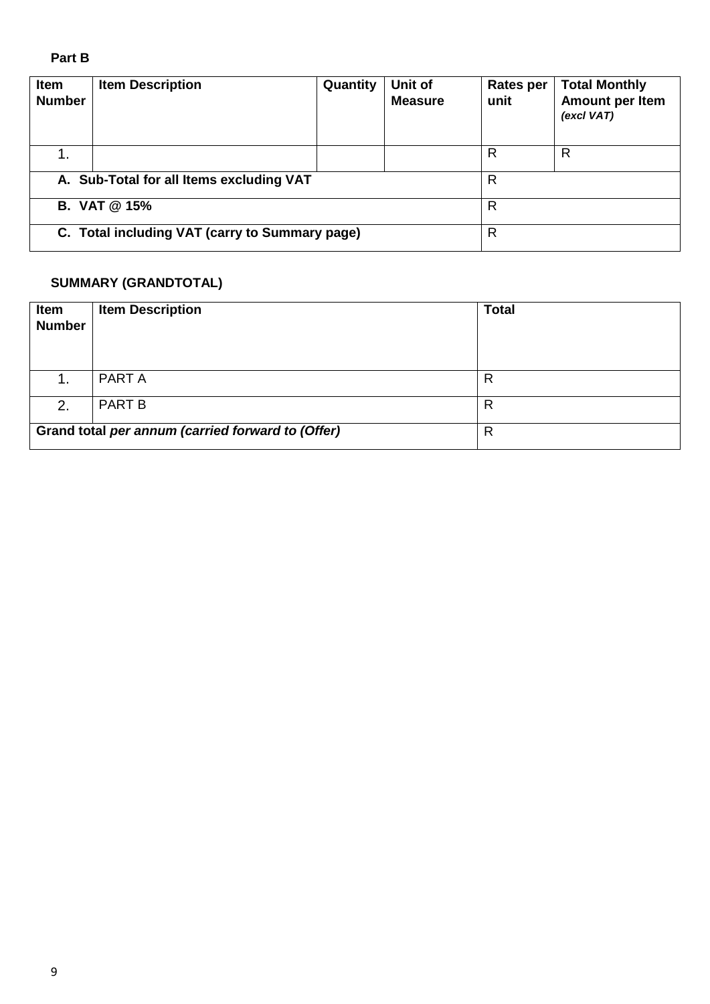## **Part B**

| <b>Item</b><br><b>Number</b>             | <b>Item Description</b>                        | Quantity | Unit of<br><b>Measure</b> | Rates per<br>unit | <b>Total Monthly</b><br>Amount per Item<br>(excl VAT) |  |
|------------------------------------------|------------------------------------------------|----------|---------------------------|-------------------|-------------------------------------------------------|--|
|                                          |                                                |          |                           | R                 | R                                                     |  |
| A. Sub-Total for all Items excluding VAT |                                                |          |                           |                   | R                                                     |  |
| <b>B. VAT @ 15%</b>                      |                                                |          |                           | R                 |                                                       |  |
|                                          | C. Total including VAT (carry to Summary page) | R        |                           |                   |                                                       |  |

## **SUMMARY (GRANDTOTAL)**

| Item<br><b>Number</b> | <b>Item Description</b>                           | <b>Total</b> |
|-----------------------|---------------------------------------------------|--------------|
| 1.                    | PART A                                            | R            |
| 2.                    | <b>PART B</b>                                     | R            |
|                       | Grand total per annum (carried forward to (Offer) | R            |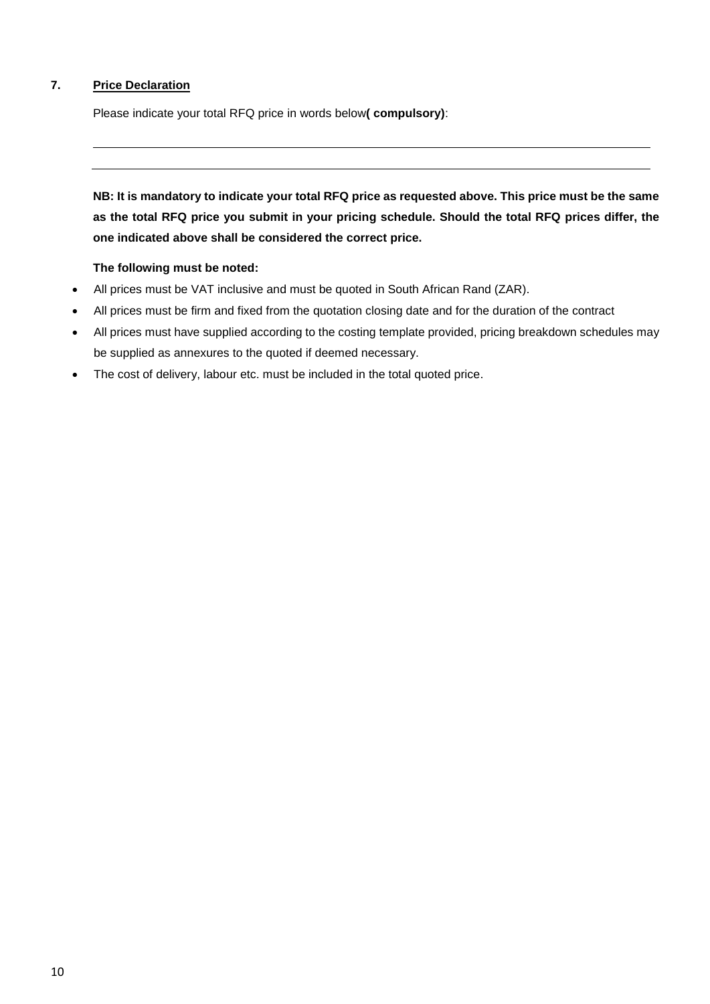## **7. Price Declaration**

Please indicate your total RFQ price in words below**( compulsory)**:

**NB: It is mandatory to indicate your total RFQ price as requested above. This price must be the same as the total RFQ price you submit in your pricing schedule. Should the total RFQ prices differ, the one indicated above shall be considered the correct price.** 

#### **The following must be noted:**

- All prices must be VAT inclusive and must be quoted in South African Rand (ZAR).
- All prices must be firm and fixed from the quotation closing date and for the duration of the contract
- All prices must have supplied according to the costing template provided, pricing breakdown schedules may be supplied as annexures to the quoted if deemed necessary.
- The cost of delivery, labour etc. must be included in the total quoted price.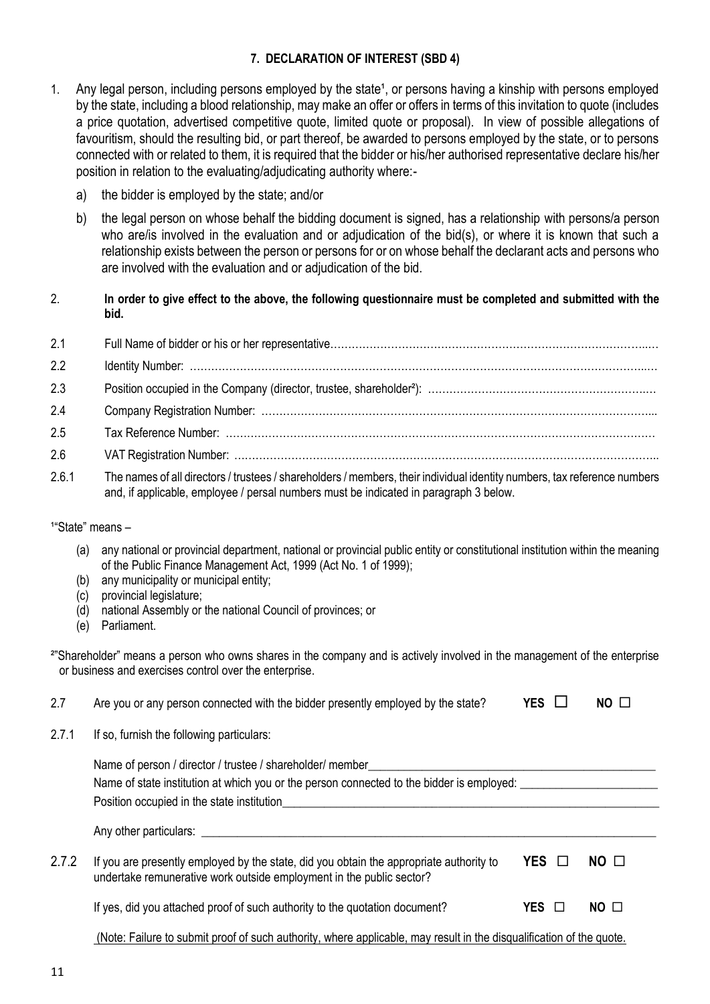## **7. DECLARATION OF INTEREST (SBD 4)**

- 1. Any legal person, including persons employed by the state<sup>1</sup>, or persons having a kinship with persons employed by the state, including a blood relationship, may make an offer or offers in terms of this invitation to quote (includes a price quotation, advertised competitive quote, limited quote or proposal). In view of possible allegations of favouritism, should the resulting bid, or part thereof, be awarded to persons employed by the state, or to persons connected with or related to them, it is required that the bidder or his/her authorised representative declare his/her position in relation to the evaluating/adjudicating authority where:
	- a) the bidder is employed by the state; and/or
	- b) the legal person on whose behalf the bidding document is signed, has a relationship with persons/a person who are/is involved in the evaluation and or adjudication of the bid(s), or where it is known that such a relationship exists between the person or persons for or on whose behalf the declarant acts and persons who are involved with the evaluation and or adjudication of the bid.
- 2. **In order to give effect to the above, the following questionnaire must be completed and submitted with the bid.**

| 2.1 |  |
|-----|--|
| 2.2 |  |
| 2.3 |  |
| 2.4 |  |
| 2.5 |  |
| 2.6 |  |

2.6.1 The names of all directors / trustees / shareholders / members, their individual identity numbers, tax reference numbers and, if applicable, employee / persal numbers must be indicated in paragraph 3 below.

#### <sup>1</sup>"State" means -

- (a) any national or provincial department, national or provincial public entity or constitutional institution within the meaning of the Public Finance Management Act, 1999 (Act No. 1 of 1999);
- (b) any municipality or municipal entity;
- (c) provincial legislature;
- (d) national Assembly or the national Council of provinces; or
- (e) Parliament.

²"Shareholder" means a person who owns shares in the company and is actively involved in the management of the enterprise or business and exercises control over the enterprise.

| 2.7   | Are you or any person connected with the bidder presently employed by the state?                                                                                | <b>YES</b> | NO.             |
|-------|-----------------------------------------------------------------------------------------------------------------------------------------------------------------|------------|-----------------|
| 2.7.1 | If so, furnish the following particulars:                                                                                                                       |            |                 |
|       | Name of person / director / trustee / shareholder/ member<br>Name of state institution at which you or the person connected to the bidder is employed:          |            |                 |
|       | Position occupied in the state institution                                                                                                                      |            |                 |
|       | Any other particulars: ____________                                                                                                                             |            |                 |
| 2.7.2 | If you are presently employed by the state, did you obtain the appropriate authority to<br>undertake remunerative work outside employment in the public sector? | YES O      | $NO$ $\Box$     |
|       | If yes, did you attached proof of such authority to the quotation document?                                                                                     | YES □      | NO <sub>0</sub> |
|       | (Note: Failure to submit proof of such authority, where applicable, may result in the disqualification of the quote.                                            |            |                 |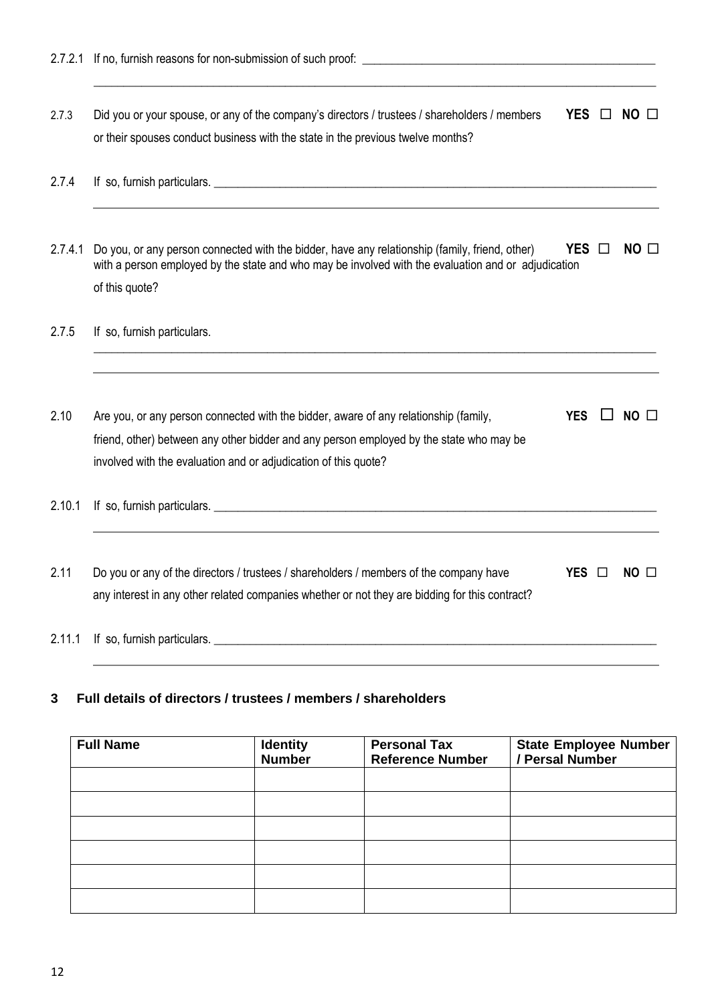2.7.3 Did you or your spouse, or any of the company's directors / trustees / shareholders / members **YES**  $\Box$  **NO**  $\Box$ or their spouses conduct business with the state in the previous twelve months?

\_\_\_\_\_\_\_\_\_\_\_\_\_\_\_\_\_\_\_\_\_\_\_\_\_\_\_\_\_\_\_\_\_\_\_\_\_\_\_\_\_\_\_\_\_\_\_\_\_\_\_\_\_\_\_\_\_\_\_\_\_\_\_\_\_\_\_\_\_\_\_\_\_\_\_\_\_\_\_\_\_\_\_\_\_\_\_\_\_\_\_\_\_\_

- 2.7.4 If so, furnish particulars.
- 2.7.4.1 Do you, or any person connected with the bidder, have any relationship (family, friend, other) **YES**  $\Box$  **NO**  $\Box$ with a person employed by the state and who may be involved with the evaluation and or adjudication of this quote?

**\_\_\_\_\_\_\_\_\_\_\_\_\_\_\_\_\_\_\_\_\_\_\_\_\_\_\_\_\_\_\_\_\_\_\_\_\_\_\_\_\_\_\_\_\_\_\_\_\_\_\_\_\_\_\_\_\_\_\_\_\_\_\_\_\_\_\_\_\_\_\_\_\_\_\_\_\_\_\_\_\_\_\_\_\_\_\_\_\_\_\_\_\_\_**

#### 2.7.5 If so, furnish particulars.

2.10 Are you, or any person connected with the bidder, aware of any relationship (family, **YES**  $\Box$  NO  $\Box$ friend, other) between any other bidder and any person employed by the state who may be involved with the evaluation and or adjudication of this quote?

2.10.1 If so, furnish particulars. *Let us a set of the set of the set of the set of the set of the set of the set of the set of the set of the set of the set of the set of the set of the set of the set of the set of the* 

- 2.11 Do you or any of the directors / trustees / shareholders / members of the company have **YES □ NO** □ any interest in any other related companies whether or not they are bidding for this contract?
- 2.11.1 If so, furnish particulars. **\_\_\_\_\_\_\_\_\_\_\_\_\_\_\_\_\_\_\_\_\_\_\_\_\_\_\_\_\_\_\_\_\_\_\_\_\_\_\_\_\_\_\_\_\_\_\_\_\_\_\_\_\_\_\_\_\_\_\_\_\_\_\_\_\_\_\_\_\_\_\_\_\_\_**

## **3 Full details of directors / trustees / members / shareholders**

| <b>Full Name</b> | <b>Identity</b><br><b>Number</b> | <b>Personal Tax</b><br><b>Reference Number</b> | <b>State Employee Number</b><br>/ Persal Number |
|------------------|----------------------------------|------------------------------------------------|-------------------------------------------------|
|                  |                                  |                                                |                                                 |
|                  |                                  |                                                |                                                 |
|                  |                                  |                                                |                                                 |
|                  |                                  |                                                |                                                 |
|                  |                                  |                                                |                                                 |
|                  |                                  |                                                |                                                 |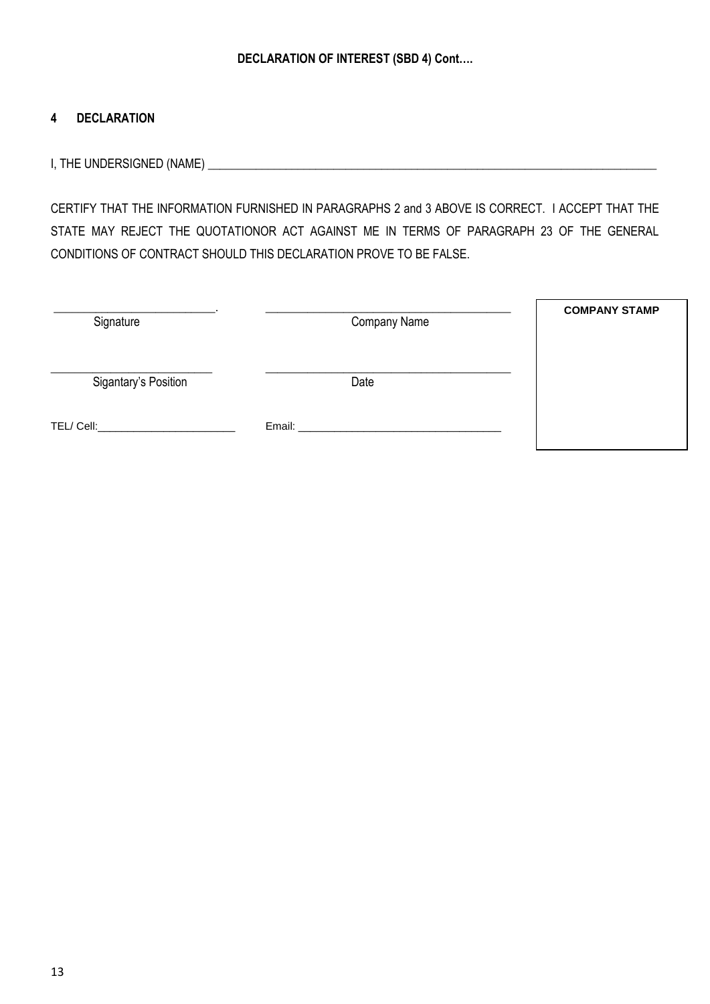## **4 DECLARATION**

I, THE UNDERSIGNED (NAME) **\_\_\_\_\_\_\_\_\_\_\_\_\_\_\_\_\_\_\_\_\_\_\_\_\_\_\_\_\_\_\_\_\_\_\_\_\_\_\_\_\_\_\_\_\_\_\_\_\_\_\_\_\_\_\_\_\_\_\_\_\_\_\_\_\_\_\_\_\_\_\_\_\_\_\_**

CERTIFY THAT THE INFORMATION FURNISHED IN PARAGRAPHS 2 and 3 ABOVE IS CORRECT. I ACCEPT THAT THE STATE MAY REJECT THE QUOTATIONOR ACT AGAINST ME IN TERMS OF PARAGRAPH 23 OF THE GENERAL CONDITIONS OF CONTRACT SHOULD THIS DECLARATION PROVE TO BE FALSE.

| Signature            | Company Name | <b>COMPANY STAMP</b> |
|----------------------|--------------|----------------------|
| Sigantary's Position | Date         |                      |
| TEL/Cell:            | Email: __    |                      |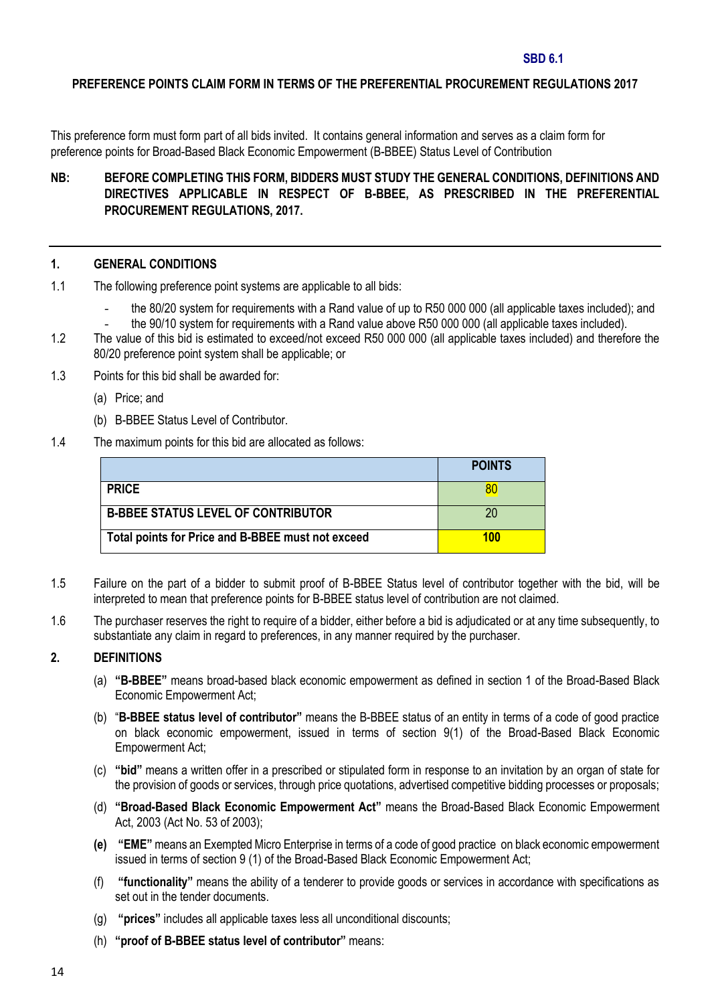#### **SBD 6.1**

#### **PREFERENCE POINTS CLAIM FORM IN TERMS OF THE PREFERENTIAL PROCUREMENT REGULATIONS 2017**

This preference form must form part of all bids invited. It contains general information and serves as a claim form for preference points for Broad-Based Black Economic Empowerment (B-BBEE) Status Level of Contribution

## **NB: BEFORE COMPLETING THIS FORM, BIDDERS MUST STUDY THE GENERAL CONDITIONS, DEFINITIONS AND DIRECTIVES APPLICABLE IN RESPECT OF B-BBEE, AS PRESCRIBED IN THE PREFERENTIAL PROCUREMENT REGULATIONS, 2017.**

#### **1. GENERAL CONDITIONS**

- 1.1 The following preference point systems are applicable to all bids:
	- the 80/20 system for requirements with a Rand value of up to R50 000 000 (all applicable taxes included); and
	- the 90/10 system for requirements with a Rand value above R50 000 000 (all applicable taxes included).
- 1.2 The value of this bid is estimated to exceed/not exceed R50 000 000 (all applicable taxes included) and therefore the 80/20 preference point system shall be applicable; or
- 1.3 Points for this bid shall be awarded for:
	- (a) Price; and
	- (b) B-BBEE Status Level of Contributor.
- 1.4 The maximum points for this bid are allocated as follows:

|                                                   | <b>POINTS</b> |
|---------------------------------------------------|---------------|
| <b>PRICE</b>                                      |               |
| <b>B-BBEE STATUS LEVEL OF CONTRIBUTOR</b>         | 20            |
| Total points for Price and B-BBEE must not exceed | 100           |

- 1.5 Failure on the part of a bidder to submit proof of B-BBEE Status level of contributor together with the bid, will be interpreted to mean that preference points for B-BBEE status level of contribution are not claimed.
- 1.6 The purchaser reserves the right to require of a bidder, either before a bid is adjudicated or at any time subsequently, to substantiate any claim in regard to preferences, in any manner required by the purchaser.

#### **2. DEFINITIONS**

- (a) **"B-BBEE"** means broad-based black economic empowerment as defined in section 1 of the Broad-Based Black Economic Empowerment Act;
- (b) "**B-BBEE status level of contributor"** means the B-BBEE status of an entity in terms of a code of good practice on black economic empowerment, issued in terms of section 9(1) of the Broad-Based Black Economic Empowerment Act;
- (c) **"bid"** means a written offer in a prescribed or stipulated form in response to an invitation by an organ of state for the provision of goods or services, through price quotations, advertised competitive bidding processes or proposals;
- (d) **"Broad-Based Black Economic Empowerment Act"** means the Broad-Based Black Economic Empowerment Act, 2003 (Act No. 53 of 2003);
- **(e) "EME"** means an Exempted Micro Enterprise in terms of a code of good practice on black economic empowerment issued in terms of section 9 (1) of the Broad-Based Black Economic Empowerment Act;
- (f) **"functionality"** means the ability of a tenderer to provide goods or services in accordance with specifications as set out in the tender documents.
- (g) **"prices"** includes all applicable taxes less all unconditional discounts;
- (h) **"proof of B-BBEE status level of contributor"** means: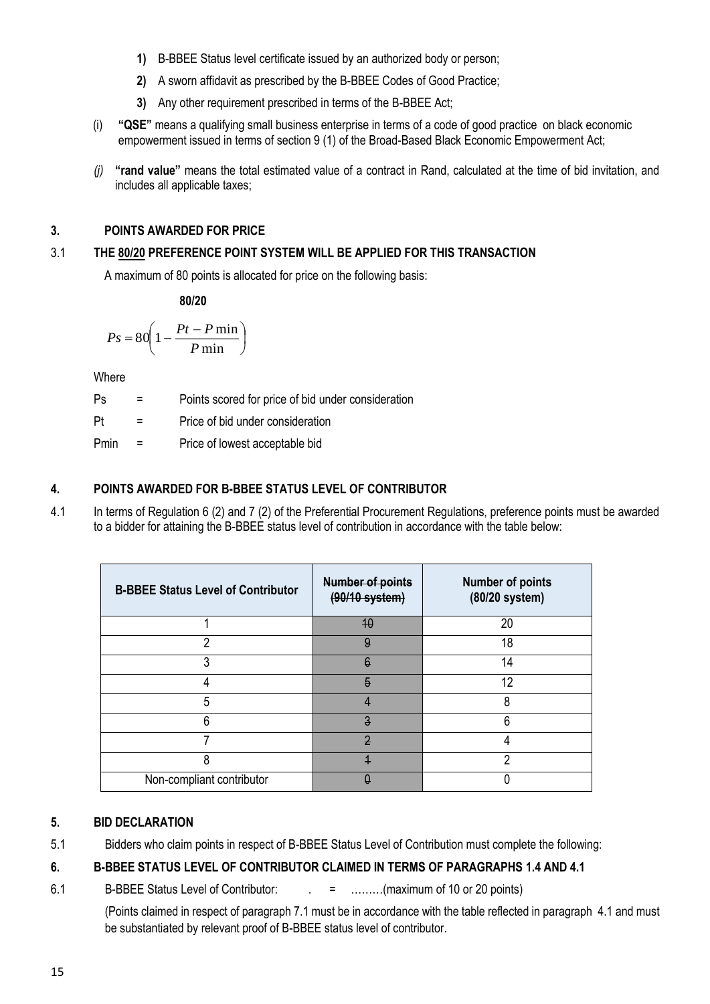- **1)** B-BBEE Status level certificate issued by an authorized body or person;
- **2)** A sworn affidavit as prescribed by the B-BBEE Codes of Good Practice;
- **3)** Any other requirement prescribed in terms of the B-BBEE Act;
- (i) **"QSE"** means a qualifying small business enterprise in terms of a code of good practice on black economic empowerment issued in terms of section 9 (1) of the Broad-Based Black Economic Empowerment Act;
- *(j)* **"rand value"** means the total estimated value of a contract in Rand, calculated at the time of bid invitation, and includes all applicable taxes;

## **3. POINTS AWARDED FOR PRICE**

## 3.1 **THE 80/20 PREFERENCE POINT SYSTEM WILL BE APPLIED FOR THIS TRANSACTION**

A maximum of 80 points is allocated for price on the following basis:

**80/20**

$$
Ps = 80 \left( 1 - \frac{Pt - P \min}{P \min} \right)
$$

**Where** 

| Ps   | $\equiv$ | Points scored for price of bid under consideration |
|------|----------|----------------------------------------------------|
| Pt   | $\equiv$ | Price of bid under consideration                   |
| Pmin | $\equiv$ | Price of lowest acceptable bid                     |

## **4. POINTS AWARDED FOR B-BBEE STATUS LEVEL OF CONTRIBUTOR**

4.1 In terms of Regulation 6 (2) and 7 (2) of the Preferential Procurement Regulations, preference points must be awarded to a bidder for attaining the B-BBEE status level of contribution in accordance with the table below:

| <b>B-BBEE Status Level of Contributor</b> | <b>Number of points</b><br>$(90/10$ system) | <b>Number of points</b><br>(80/20 system) |
|-------------------------------------------|---------------------------------------------|-------------------------------------------|
|                                           | 40                                          | 20                                        |
| າ                                         | 9                                           | 18                                        |
|                                           | $\ddot{\theta}$                             | 14                                        |
|                                           | $\overline{5}$                              | 12                                        |
| 5                                         |                                             | 8                                         |
| հ                                         | $\overline{3}$                              | 6                                         |
|                                           | $\overline{2}$                              |                                           |
| 8                                         |                                             | റ                                         |
| Non-compliant contributor                 |                                             |                                           |

## **5. BID DECLARATION**

5.1 Bidders who claim points in respect of B-BBEE Status Level of Contribution must complete the following:

## **6. B-BBEE STATUS LEVEL OF CONTRIBUTOR CLAIMED IN TERMS OF PARAGRAPHS 1.4 AND 4.1**

6.1 B-BBEE Status Level of Contributor:  $\qquad \qquad = \qquad \qquad \dots \dots \dots \dots$  (maximum of 10 or 20 points)

(Points claimed in respect of paragraph 7.1 must be in accordance with the table reflected in paragraph 4.1 and must be substantiated by relevant proof of B-BBEE status level of contributor.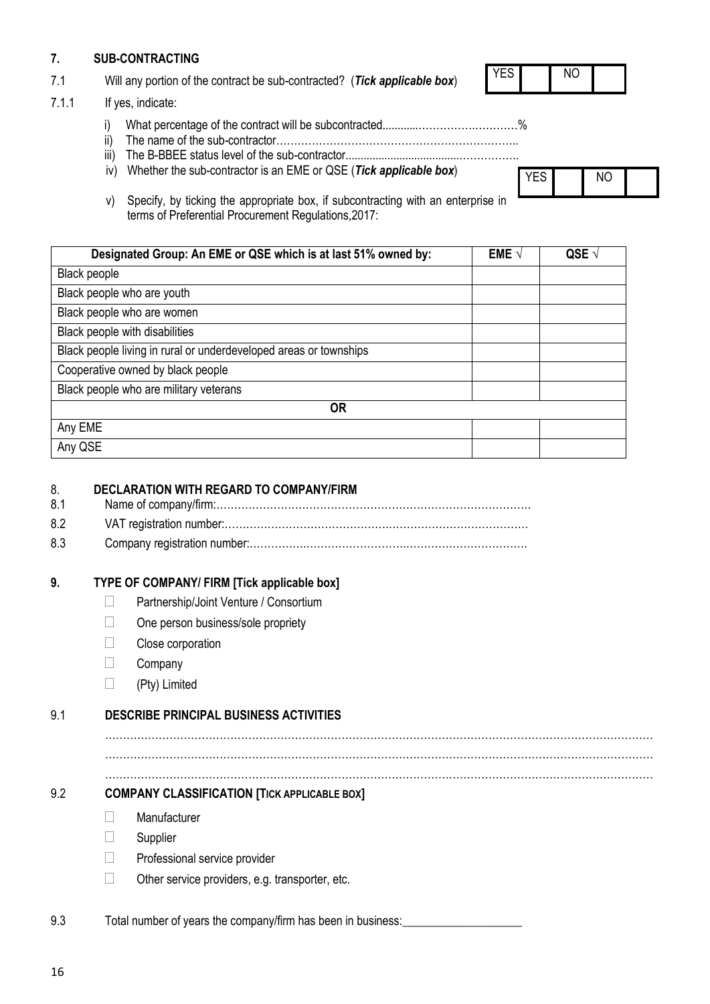## **7. SUB-CONTRACTING**

7.1 Will any portion of the contract be sub-contracted? (*Tick applicable box*)

#### 7.1.1 If yes, indicate:

i) What percentage of the contract will be subcontracted............…………….…………%

YES NO

YES NO

- ii) The name of the sub-contractor…………………………………………………………..
- iii) The B-BBEE status level of the sub-contractor......................................……………..
- iv) Whether the sub-contractor is an EME or QSE (*Tick applicable box*)
- v) Specify, by ticking the appropriate box, if subcontracting with an enterprise in terms of Preferential Procurement Regulations,2017:

| Designated Group: An EME or QSE which is at last 51% owned by:    | EME $\vee$ | QSE $\sqrt{ }$ |
|-------------------------------------------------------------------|------------|----------------|
| Black people                                                      |            |                |
| Black people who are youth                                        |            |                |
| Black people who are women                                        |            |                |
| Black people with disabilities                                    |            |                |
| Black people living in rural or underdeveloped areas or townships |            |                |
| Cooperative owned by black people                                 |            |                |
| Black people who are military veterans                            |            |                |
| <b>OR</b>                                                         |            |                |
| Any EME                                                           |            |                |
| Any QSE                                                           |            |                |

## 8. **DECLARATION WITH REGARD TO COMPANY/FIRM**

- 8.1 Name of company/firm:…………………………………………………………………………….
- 8.2 VAT registration number:……………………………………….…………………………………
- 8.3 Company registration number:…………….……………………….…………………………….

## **9. TYPE OF COMPANY/ FIRM [Tick applicable box]**

- **Partnership/Joint Venture / Consortium**
- □ One person business/sole propriety
- Close corporation
- $\Box$  Company
- $\Box$  (Pty) Limited

## 9.1 **DESCRIBE PRINCIPAL BUSINESS ACTIVITIES**

……………………………………………………………………………………………………………………………………… ………………………………………………………………………………………………………………………………………

………………………………………………………………………………………………………………………………………

## 9.2 **COMPANY CLASSIFICATION [TICK APPLICABLE BOX]**

- **Nanufacturer**
- $\Box$  Supplier
- $\Box$  Professional service provider
- $\Box$  Other service providers, e.g. transporter, etc.

9.3 Total number of years the company/firm has been in business: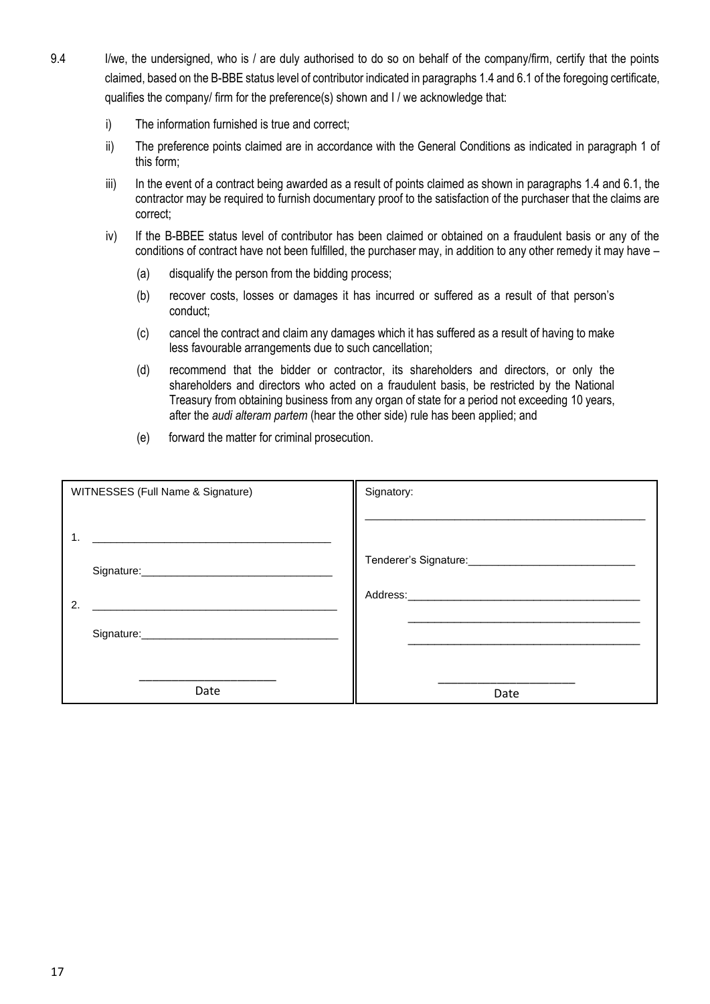- 9.4 I/we, the undersigned, who is / are duly authorised to do so on behalf of the company/firm, certify that the points claimed, based on the B-BBE status level of contributor indicated in paragraphs 1.4 and 6.1 of the foregoing certificate, qualifies the company/ firm for the preference(s) shown and I / we acknowledge that:
	- i) The information furnished is true and correct;
	- ii) The preference points claimed are in accordance with the General Conditions as indicated in paragraph 1 of this form;
	- iii) In the event of a contract being awarded as a result of points claimed as shown in paragraphs 1.4 and 6.1, the contractor may be required to furnish documentary proof to the satisfaction of the purchaser that the claims are correct;
	- iv) If the B-BBEE status level of contributor has been claimed or obtained on a fraudulent basis or any of the conditions of contract have not been fulfilled, the purchaser may, in addition to any other remedy it may have –
		- (a) disqualify the person from the bidding process;
		- (b) recover costs, losses or damages it has incurred or suffered as a result of that person's conduct;
		- (c) cancel the contract and claim any damages which it has suffered as a result of having to make less favourable arrangements due to such cancellation;
		- (d) recommend that the bidder or contractor, its shareholders and directors, or only the shareholders and directors who acted on a fraudulent basis, be restricted by the National Treasury from obtaining business from any organ of state for a period not exceeding 10 years, after the *audi alteram partem* (hear the other side) rule has been applied; and
		- (e) forward the matter for criminal prosecution.

| WITNESSES (Full Name & Signature)    | Signatory:                                                                                                                                                                                                                     |
|--------------------------------------|--------------------------------------------------------------------------------------------------------------------------------------------------------------------------------------------------------------------------------|
|                                      |                                                                                                                                                                                                                                |
| 1.                                   |                                                                                                                                                                                                                                |
| Signature: Management Communications | Tenderer's Signature: \\owerd{\\states\} \\state \\state \\state \\state \\state \\state \\state \\state \\state \\state \\state \\state \\state \\state \\state \\state \\state \\state \\state \\state \\state \\state \\sta |
| 2.                                   | Address:_______________________                                                                                                                                                                                                |
|                                      |                                                                                                                                                                                                                                |
|                                      |                                                                                                                                                                                                                                |
| Date                                 | Date                                                                                                                                                                                                                           |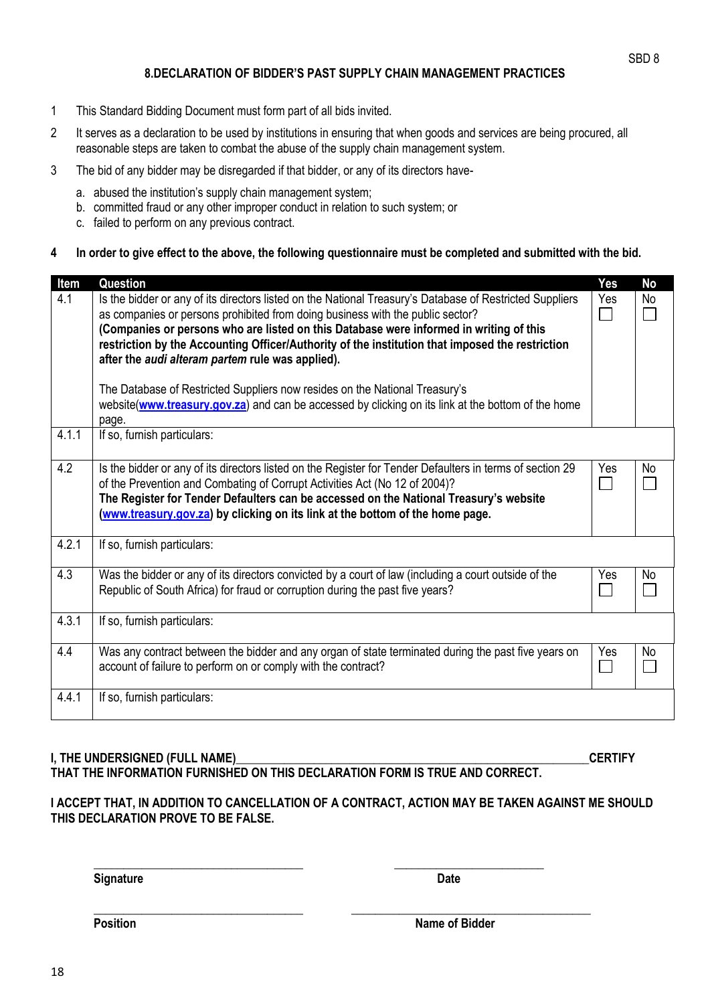## **8.DECLARATION OF BIDDER'S PAST SUPPLY CHAIN MANAGEMENT PRACTICES**

- 1 This Standard Bidding Document must form part of all bids invited.
- 2 It serves as a declaration to be used by institutions in ensuring that when goods and services are being procured, all reasonable steps are taken to combat the abuse of the supply chain management system.
- 3 The bid of any bidder may be disregarded if that bidder, or any of its directors have
	- a. abused the institution's supply chain management system;
	- b. committed fraud or any other improper conduct in relation to such system; or
	- c. failed to perform on any previous contract.

#### **4 In order to give effect to the above, the following questionnaire must be completed and submitted with the bid.**

| Item  | Question                                                                                                                                                                                                                                                                                                                                                                                                                                                                                                                   | <b>Yes</b> | <b>No</b> |
|-------|----------------------------------------------------------------------------------------------------------------------------------------------------------------------------------------------------------------------------------------------------------------------------------------------------------------------------------------------------------------------------------------------------------------------------------------------------------------------------------------------------------------------------|------------|-----------|
| 4.1   | Is the bidder or any of its directors listed on the National Treasury's Database of Restricted Suppliers<br>as companies or persons prohibited from doing business with the public sector?<br>(Companies or persons who are listed on this Database were informed in writing of this<br>restriction by the Accounting Officer/Authority of the institution that imposed the restriction<br>after the audi alteram partem rule was applied).<br>The Database of Restricted Suppliers now resides on the National Treasury's | Yes        | No        |
|       | website(www.treasury.gov.za) and can be accessed by clicking on its link at the bottom of the home<br>page.                                                                                                                                                                                                                                                                                                                                                                                                                |            |           |
| 4.1.1 | If so, furnish particulars:                                                                                                                                                                                                                                                                                                                                                                                                                                                                                                |            |           |
| 4.2   | Is the bidder or any of its directors listed on the Register for Tender Defaulters in terms of section 29<br>of the Prevention and Combating of Corrupt Activities Act (No 12 of 2004)?<br>The Register for Tender Defaulters can be accessed on the National Treasury's website<br>(www.treasury.gov.za) by clicking on its link at the bottom of the home page.                                                                                                                                                          | Yes        | <b>No</b> |
| 4.2.1 | If so, furnish particulars:                                                                                                                                                                                                                                                                                                                                                                                                                                                                                                |            |           |
| 4.3   | Was the bidder or any of its directors convicted by a court of law (including a court outside of the<br>Republic of South Africa) for fraud or corruption during the past five years?                                                                                                                                                                                                                                                                                                                                      | Yes        | <b>No</b> |
| 4.3.1 | If so, furnish particulars:                                                                                                                                                                                                                                                                                                                                                                                                                                                                                                |            |           |
| 4.4   | Was any contract between the bidder and any organ of state terminated during the past five years on<br>account of failure to perform on or comply with the contract?                                                                                                                                                                                                                                                                                                                                                       | Yes        | <b>No</b> |
| 4.4.1 | If so, furnish particulars:                                                                                                                                                                                                                                                                                                                                                                                                                                                                                                |            |           |

## **I, THE UNDERSIGNED (FULL NAME)\_\_\_\_\_\_\_\_\_\_\_\_\_\_\_\_\_\_\_\_\_\_\_\_\_\_\_\_\_\_\_\_\_\_\_\_\_\_\_\_\_\_\_\_\_\_\_\_\_\_\_\_\_\_\_\_\_\_\_CERTIFY THAT THE INFORMATION FURNISHED ON THIS DECLARATION FORM IS TRUE AND CORRECT.**

#### **I ACCEPT THAT, IN ADDITION TO CANCELLATION OF A CONTRACT, ACTION MAY BE TAKEN AGAINST ME SHOULD THIS DECLARATION PROVE TO BE FALSE.**

**Signature Date** 

**\_\_\_\_\_\_\_\_\_\_\_\_\_\_\_\_\_\_\_\_\_\_\_\_\_\_\_\_\_\_\_\_\_\_\_ \_\_\_\_\_\_\_\_\_\_\_\_\_\_\_\_\_\_\_\_\_\_\_\_\_**

**\_\_\_\_\_\_\_\_\_\_\_\_\_\_\_\_\_\_\_\_\_\_\_\_\_\_\_\_\_\_\_\_\_\_\_ \_\_\_\_\_\_\_\_\_\_\_\_\_\_\_\_\_\_\_\_\_\_\_\_\_\_\_\_\_\_\_\_\_\_\_\_\_\_\_\_**

**Position** Name of Bidder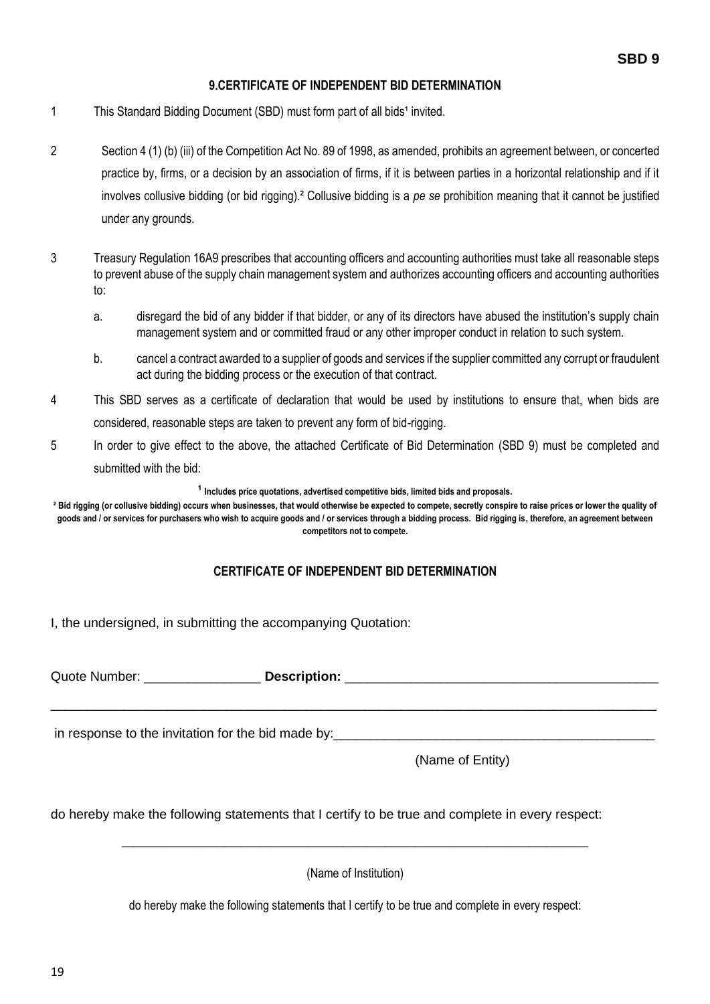## **9.CERTIFICATE OF INDEPENDENT BID DETERMINATION**

- 1 This Standard Bidding Document (SBD) must form part of all bids<sup>1</sup> invited.
- 2 Section 4 (1) (b) (iii) of the Competition Act No. 89 of 1998, as amended, prohibits an agreement between, or concerted practice by, firms, or a decision by an association of firms, if it is between parties in a horizontal relationship and if it involves collusive bidding (or bid rigging).² Collusive bidding is a *pe se* prohibition meaning that it cannot be justified under any grounds.
- 3 Treasury Regulation 16A9 prescribes that accounting officers and accounting authorities must take all reasonable steps to prevent abuse of the supply chain management system and authorizes accounting officers and accounting authorities to:
	- a. disregard the bid of any bidder if that bidder, or any of its directors have abused the institution's supply chain management system and or committed fraud or any other improper conduct in relation to such system.
	- b. cancel a contract awarded to a supplier of goods and services if the supplier committed any corrupt or fraudulent act during the bidding process or the execution of that contract.
- 4 This SBD serves as a certificate of declaration that would be used by institutions to ensure that, when bids are considered, reasonable steps are taken to prevent any form of bid-rigging.
- 5 In order to give effect to the above, the attached Certificate of Bid Determination (SBD 9) must be completed and submitted with the bid:

<sup>1</sup> Includes price quotations, advertised competitive bids, limited bids and proposals.

**² Bid rigging (or collusive bidding) occurs when businesses, that would otherwise be expected to compete, secretly conspire to raise prices or lower the quality of goods and / or services for purchasers who wish to acquire goods and / or services through a bidding process. Bid rigging is, therefore, an agreement between competitors not to compete.**

## **CERTIFICATE OF INDEPENDENT BID DETERMINATION**

\_\_\_\_\_\_\_\_\_\_\_\_\_\_\_\_\_\_\_\_\_\_\_\_\_\_\_\_\_\_\_\_\_\_\_\_\_\_\_\_\_\_\_\_\_\_\_\_\_\_\_\_\_\_\_\_\_\_\_\_\_\_\_\_\_\_\_\_\_\_\_\_\_\_\_\_\_\_\_\_\_\_\_

I, the undersigned, in submitting the accompanying Quotation:

Quote Number: **Description: Description: Quote Number:**  $\bullet$ 

in response to the invitation for the bid made by:

(Name of Entity)

do hereby make the following statements that I certify to be true and complete in every respect:

(Name of Institution)

\_\_\_\_\_\_\_\_\_\_\_\_\_\_\_\_\_\_\_\_\_\_\_\_\_\_\_\_\_\_\_\_\_\_\_\_\_\_\_\_\_\_\_\_\_\_\_\_\_\_\_\_\_\_\_\_\_\_\_\_\_\_\_\_\_\_\_\_\_\_\_\_\_\_\_\_\_\_

do hereby make the following statements that I certify to be true and complete in every respect: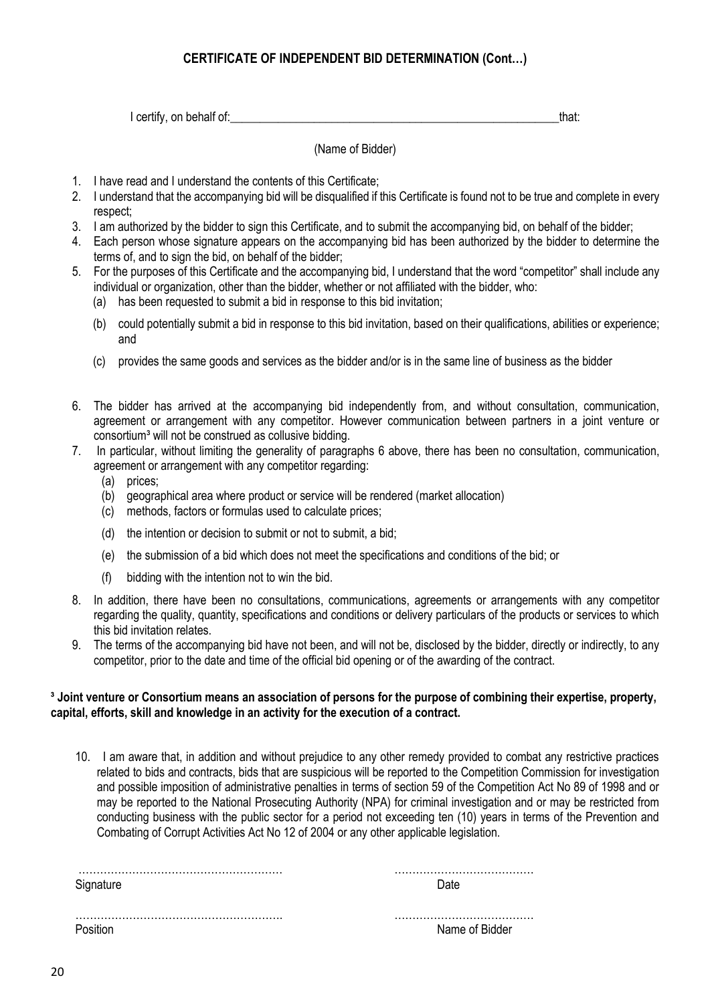## **CERTIFICATE OF INDEPENDENT BID DETERMINATION (Cont…)**

I certify, on behalf of: that: that: that: that: that: that: that: that: that: that: that: that: that: that: that: that: that: that: that: that: that: that: that: that: that: that: that: that: that: that: that: that: that:

(Name of Bidder)

- 1. I have read and I understand the contents of this Certificate;
- 2. I understand that the accompanying bid will be disqualified if this Certificate is found not to be true and complete in every respect;
- 3. I am authorized by the bidder to sign this Certificate, and to submit the accompanying bid, on behalf of the bidder;
- 4. Each person whose signature appears on the accompanying bid has been authorized by the bidder to determine the terms of, and to sign the bid, on behalf of the bidder;
- 5. For the purposes of this Certificate and the accompanying bid, I understand that the word "competitor" shall include any individual or organization, other than the bidder, whether or not affiliated with the bidder, who:
	- (a) has been requested to submit a bid in response to this bid invitation;
	- (b) could potentially submit a bid in response to this bid invitation, based on their qualifications, abilities or experience; and
	- (c) provides the same goods and services as the bidder and/or is in the same line of business as the bidder
- 6. The bidder has arrived at the accompanying bid independently from, and without consultation, communication, agreement or arrangement with any competitor. However communication between partners in a joint venture or consortium<sup>3</sup> will not be construed as collusive bidding.
- 7. In particular, without limiting the generality of paragraphs 6 above, there has been no consultation, communication, agreement or arrangement with any competitor regarding:
	- (a) prices:
	- (b) geographical area where product or service will be rendered (market allocation)
	- (c) methods, factors or formulas used to calculate prices;
	- (d) the intention or decision to submit or not to submit, a bid;
	- (e) the submission of a bid which does not meet the specifications and conditions of the bid; or
	- (f) bidding with the intention not to win the bid.
- 8. In addition, there have been no consultations, communications, agreements or arrangements with any competitor regarding the quality, quantity, specifications and conditions or delivery particulars of the products or services to which this bid invitation relates.
- 9. The terms of the accompanying bid have not been, and will not be, disclosed by the bidder, directly or indirectly, to any competitor, prior to the date and time of the official bid opening or of the awarding of the contract.

#### **³ Joint venture or Consortium means an association of persons for the purpose of combining their expertise, property, capital, efforts, skill and knowledge in an activity for the execution of a contract.**

10. I am aware that, in addition and without prejudice to any other remedy provided to combat any restrictive practices related to bids and contracts, bids that are suspicious will be reported to the Competition Commission for investigation and possible imposition of administrative penalties in terms of section 59 of the Competition Act No 89 of 1998 and or may be reported to the National Prosecuting Authority (NPA) for criminal investigation and or may be restricted from conducting business with the public sector for a period not exceeding ten (10) years in terms of the Prevention and Combating of Corrupt Activities Act No 12 of 2004 or any other applicable legislation.

| Signature | )ate           |
|-----------|----------------|
|           | Name of Bidder |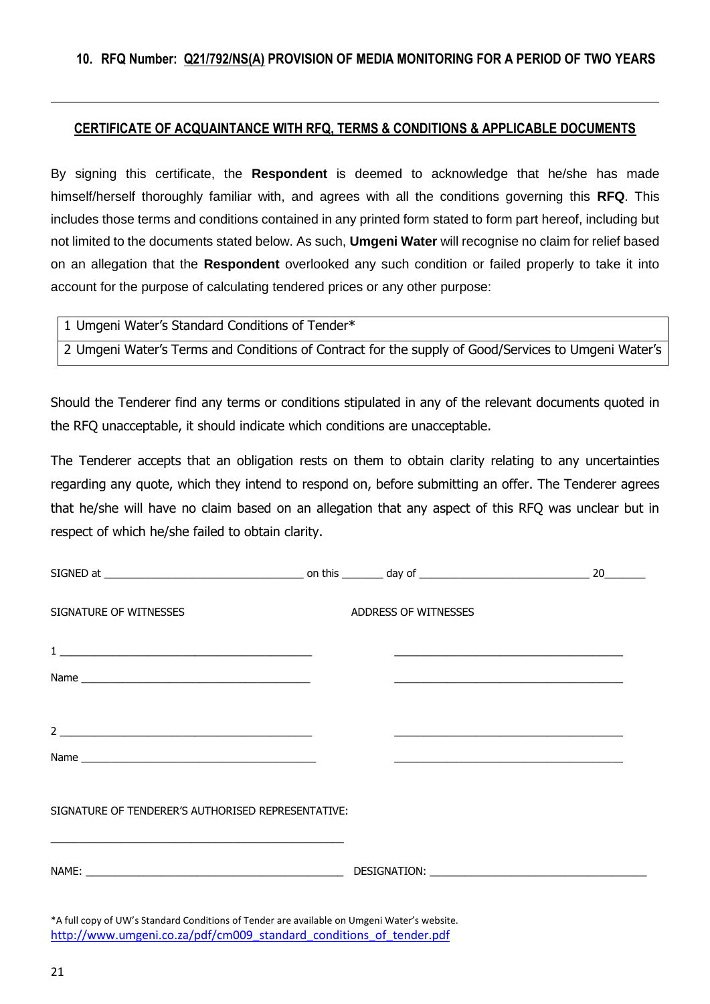## **CERTIFICATE OF ACQUAINTANCE WITH RFQ, TERMS & CONDITIONS & APPLICABLE DOCUMENTS**

By signing this certificate, the **Respondent** is deemed to acknowledge that he/she has made himself/herself thoroughly familiar with, and agrees with all the conditions governing this **RFQ**. This includes those terms and conditions contained in any printed form stated to form part hereof, including but not limited to the documents stated below. As such, **Umgeni Water** will recognise no claim for relief based on an allegation that the **Respondent** overlooked any such condition or failed properly to take it into account for the purpose of calculating tendered prices or any other purpose:

1 Umgeni Water's Standard Conditions of Tender\*

2 Umgeni Water's Terms and Conditions of Contract for the supply of Good/Services to Umgeni Water's

Should the Tenderer find any terms or conditions stipulated in any of the relevant documents quoted in the RFQ unacceptable, it should indicate which conditions are unacceptable.

The Tenderer accepts that an obligation rests on them to obtain clarity relating to any uncertainties regarding any quote, which they intend to respond on, before submitting an offer. The Tenderer agrees that he/she will have no claim based on an allegation that any aspect of this RFQ was unclear but in respect of which he/she failed to obtain clarity.

|                                                                                                                                                                        |                      |                                                                                                                                                                                                                                | 20 |
|------------------------------------------------------------------------------------------------------------------------------------------------------------------------|----------------------|--------------------------------------------------------------------------------------------------------------------------------------------------------------------------------------------------------------------------------|----|
| SIGNATURE OF WITNESSES                                                                                                                                                 | ADDRESS OF WITNESSES |                                                                                                                                                                                                                                |    |
|                                                                                                                                                                        |                      | <u> 1989 - Johann Stoff, amerikansk politiker (d. 1989)</u>                                                                                                                                                                    |    |
|                                                                                                                                                                        |                      | <u> 1989 - Jan Barbara de Santo Antonio de Antonio de Santo Antonio de Antonio de Santo Antonio de Antonio de San</u>                                                                                                          |    |
|                                                                                                                                                                        |                      |                                                                                                                                                                                                                                |    |
|                                                                                                                                                                        |                      | the control of the control of the control of the control of the control of the control of                                                                                                                                      |    |
|                                                                                                                                                                        |                      |                                                                                                                                                                                                                                |    |
| SIGNATURE OF TENDERER'S AUTHORISED REPRESENTATIVE:<br>and the control of the control of the control of the control of the control of the control of the control of the |                      |                                                                                                                                                                                                                                |    |
|                                                                                                                                                                        |                      | DESIGNATION: University of the contract of the contract of the contract of the contract of the contract of the contract of the contract of the contract of the contract of the contract of the contract of the contract of the |    |
|                                                                                                                                                                        |                      |                                                                                                                                                                                                                                |    |

\*A full copy of UW's Standard Conditions of Tender are available on Umgeni Water's website. [http://www.umgeni.co.za/pdf/cm009\\_standard\\_conditions\\_of\\_tender.pdf](http://www.umgeni.co.za/pdf/cm009_standard_conditions_of_tender.pdf)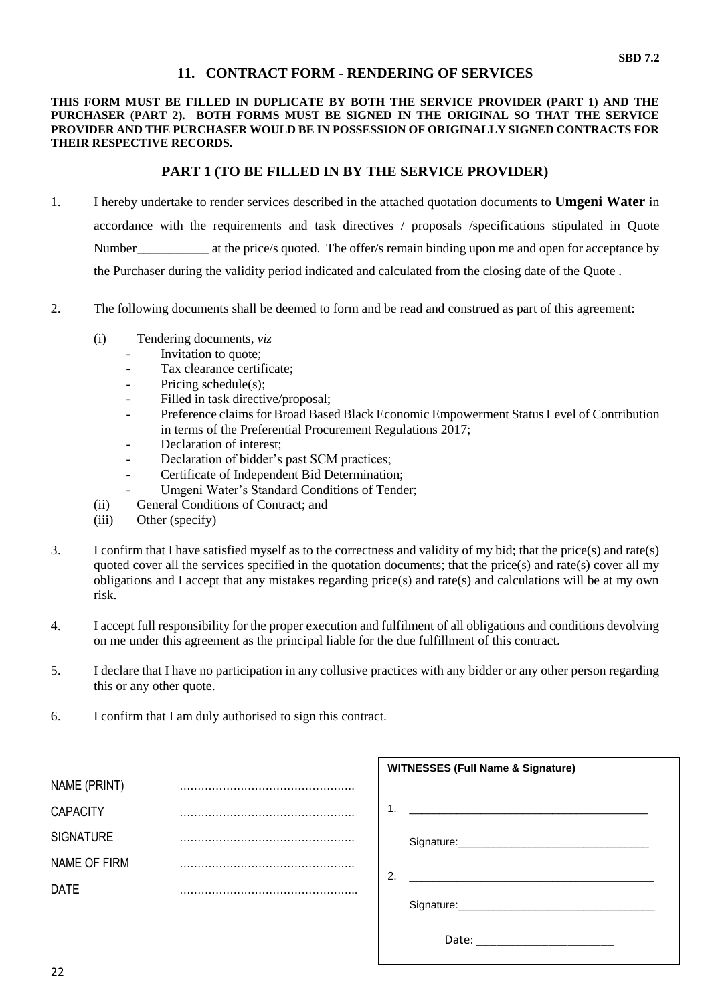### **11. CONTRACT FORM - RENDERING OF SERVICES**

#### **THIS FORM MUST BE FILLED IN DUPLICATE BY BOTH THE SERVICE PROVIDER (PART 1) AND THE PURCHASER (PART 2). BOTH FORMS MUST BE SIGNED IN THE ORIGINAL SO THAT THE SERVICE PROVIDER AND THE PURCHASER WOULD BE IN POSSESSION OF ORIGINALLY SIGNED CONTRACTS FOR THEIR RESPECTIVE RECORDS.**

#### **PART 1 (TO BE FILLED IN BY THE SERVICE PROVIDER)**

- 1. I hereby undertake to render services described in the attached quotation documents to **Umgeni Water** in accordance with the requirements and task directives / proposals /specifications stipulated in Quote Number\_\_\_\_\_\_\_\_\_\_\_\_\_ at the price/s quoted. The offer/s remain binding upon me and open for acceptance by the Purchaser during the validity period indicated and calculated from the closing date of the Quote .
- 2. The following documents shall be deemed to form and be read and construed as part of this agreement:
	- (i) Tendering documents, *viz*
		- *-* Invitation to quote;
		- Tax clearance certificate;
		- *-* Pricing schedule(s);
		- Filled in task directive/proposal;
		- *-* Preference claims for Broad Based Black Economic Empowerment Status Level of Contribution in terms of the Preferential Procurement Regulations 2017;
		- *-* Declaration of interest;
		- *-* Declaration of bidder's past SCM practices;
		- *-* Certificate of Independent Bid Determination;
		- Umgeni Water's Standard Conditions of Tender;
	- (ii) General Conditions of Contract; and
	- (iii) Other (specify)
- 3. I confirm that I have satisfied myself as to the correctness and validity of my bid; that the price(s) and rate(s) quoted cover all the services specified in the quotation documents; that the price(s) and rate(s) cover all my obligations and I accept that any mistakes regarding price(s) and rate(s) and calculations will be at my own risk.
- 4. I accept full responsibility for the proper execution and fulfilment of all obligations and conditions devolving on me under this agreement as the principal liable for the due fulfillment of this contract.
- 5. I declare that I have no participation in any collusive practices with any bidder or any other person regarding this or any other quote.
- 6. I confirm that I am duly authorised to sign this contract.

|                  |    | <b>WITNESSES (Full Name &amp; Signature)</b>                                                                          |
|------------------|----|-----------------------------------------------------------------------------------------------------------------------|
| NAME (PRINT)     |    |                                                                                                                       |
| <b>CAPACITY</b>  | 1. | <u> 2000 - Jan James James James James James James James James James James James James James James James James Ja</u> |
| <b>SIGNATURE</b> |    |                                                                                                                       |
| NAME OF FIRM     | 2. | the contract of the contract of the contract of the contract of the contract of the contract of the contract of       |
| <b>DATE</b>      |    |                                                                                                                       |
|                  |    | Signature: Signature:                                                                                                 |
|                  |    | Date:                                                                                                                 |